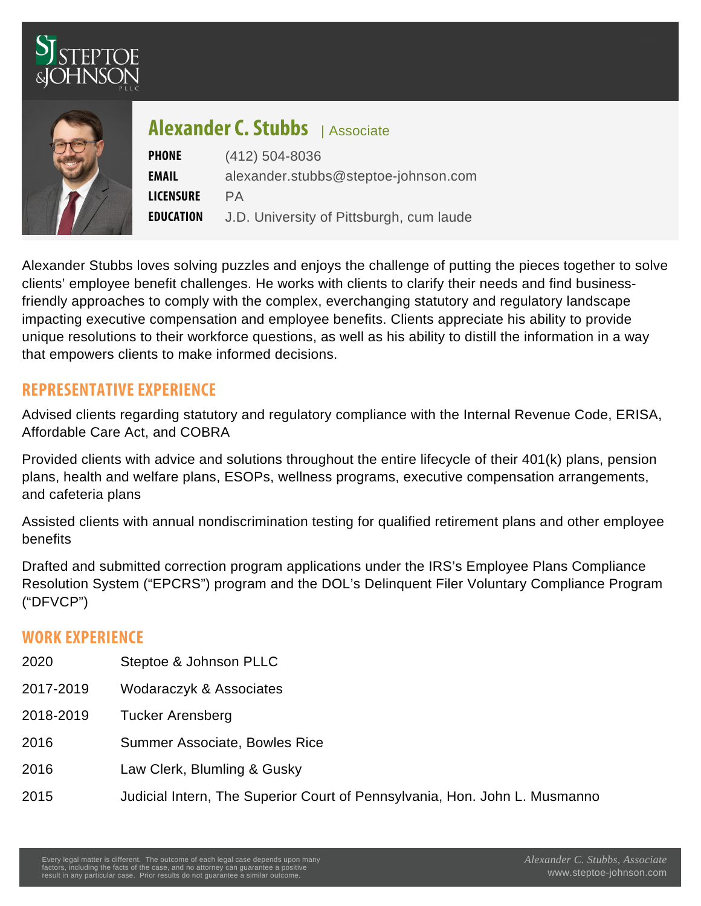## Alexander  $S$  Csociates tubbs

PHONE (412) 504-8036 EMAIL [alexander.stubbs@steptoe-johnson.com](mailto:alexander.stubbs@steptoe-johnson.com) LICENS PARE E D U C A TJD University of Pittsburgh, cum laude

Alexander Stubbs loves solving puzzles and enjoys the challenge of putting the pieces together to solve clients' employee benefit challenges. He works with clients to clarify their needs and find businessfriendly approaches to comply with the complex, everchanging statutory and regulatory landscape impacting executive compensation and employee benefits. Clients appreciate his ability to provide unique resolutions to their workforce questions, as well as his ability to distill the information in a way that empowers clients to make informed decisions.

## REPRESENTATIVE EXPERIENCE

Advised clients regarding statutory and regulatory compliance with the Internal Revenue Code, ERISA, Affordable Care Act, and COBRA

Provided clients with advice and solutions throughout the entire lifecycle of their 401(k) plans, pension plans, health and welfare plans, ESOPs, wellness programs, executive compensation arrangements, and cafeteria plans

Assisted clients with annual nondiscrimination testing for qualified retirement plans and other employee benefits

Drafted and submitted correction program applications under the IRS's Employee Plans Compliance Resolution System ("EPCRS") program and the DOL's Delinquent Filer Voluntary Compliance Program ("DFVCP")

## WORK FXPFRIFNCF

- 2020 Steptoe & Johnson PLLC 2017-2019 Wodaraczyk & Associates 2018-2019 Tucker Arensberg 2016 Summer Associate, Bowles Rice 2016 Law Clerk, Blumling & Gusky
	- 2015 Judicial Intern, The Superior Court of Pennsylvania, Hon. John L. Musmanno